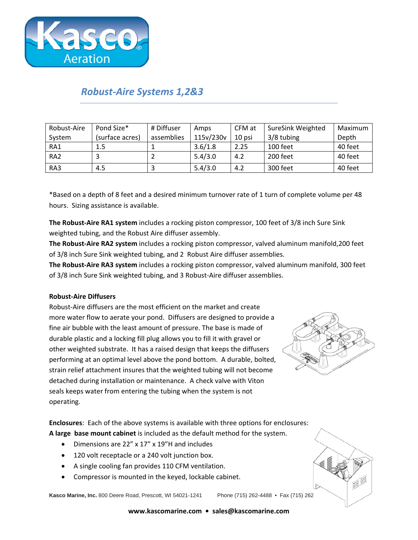

## *Robust-Aire Systems 1,2&3*

| Robust-Aire     | Pond Size*      | # Diffuser | Amps      | CFM at | <b>SureSink Weighted</b> | Maximum |
|-----------------|-----------------|------------|-----------|--------|--------------------------|---------|
| System          | (surface acres) | assemblies | 115v/230v | 10 psi | 3/8 tubing               | Depth   |
| RA1             | 1.5             |            | 3.6/1.8   | 2.25   | 100 feet                 | 40 feet |
| RA <sub>2</sub> |                 |            | 5.4/3.0   | 4.2    | 200 feet                 | 40 feet |
| RA3             | 4.5             |            | 5.4/3.0   | 4.2    | 300 feet                 | 40 feet |

\*Based on a depth of 8 feet and a desired minimum turnover rate of 1 turn of complete volume per 48 hours. Sizing assistance is available.

**The Robust-Aire RA1 system** includes a rocking piston compressor, 100 feet of 3/8 inch Sure Sink weighted tubing, and the Robust Aire diffuser assembly.

**The Robust-Aire RA2 system** includes a rocking piston compressor, valved aluminum manifold,200 feet of 3/8 inch Sure Sink weighted tubing, and 2 Robust Aire diffuser assemblies.

**The Robust-Aire RA3 system** includes a rocking piston compressor, valved aluminum manifold, 300 feet of 3/8 inch Sure Sink weighted tubing, and 3 Robust-Aire diffuser assemblies.

## **Robust-Aire Diffusers**

Robust-Aire diffusers are the most efficient on the market and create more water flow to aerate your pond. Diffusers are designed to provide a fine air bubble with the least amount of pressure. The base is made of durable plastic and a locking fill plug allows you to fill it with gravel or other weighted substrate. It has a raised design that keeps the diffusers performing at an optimal level above the pond bottom. A durable, bolted, strain relief attachment insures that the weighted tubing will not become detached during installation or maintenance. A check valve with Viton seals keeps water from entering the tubing when the system is not operating.



**Enclosures**: Each of the above systems is available with three options for enclosures: **A large base mount cabinet** is included as the default method for the system.

- Dimensions are 22" x 17" x 19"H and includes
- 120 volt receptacle or a 240 volt junction box.
- A single cooling fan provides 110 CFM ventilation.
- Compressor is mounted in the keyed, lockable cabinet.

**Kasco Marine, Inc.** 800 Deere Road, Prescott, WI 54021-1241 Phone (715) 262-4488 • Fax (715) 262-4487

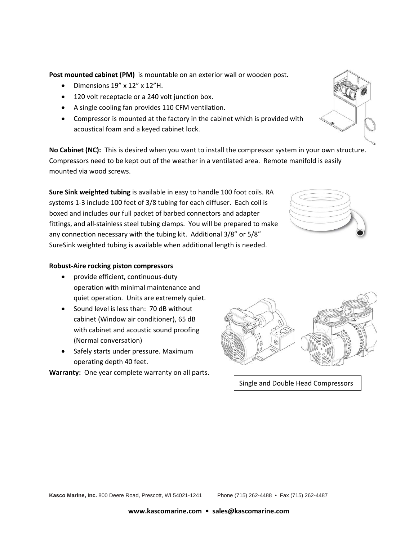**Post mounted cabinet (PM)** is mountable on an exterior wall or wooden post.

- Dimensions  $19'' \times 12'' \times 12''$  H.
- 120 volt receptacle or a 240 volt junction box.
- A single cooling fan provides 110 CFM ventilation.
- Compressor is mounted at the factory in the cabinet which is provided with acoustical foam and a keyed cabinet lock.

**No Cabinet (NC):** This is desired when you want to install the compressor system in your own structure. Compressors need to be kept out of the weather in a ventilated area. Remote manifold is easily mounted via wood screws.

**Sure Sink weighted tubing** is available in easy to handle 100 foot coils. RA systems 1-3 include 100 feet of 3/8 tubing for each diffuser. Each coil is boxed and includes our full packet of barbed connectors and adapter fittings, and all-stainless steel tubing clamps. You will be prepared to make any connection necessary with the tubing kit. Additional 3/8" or 5/8" SureSink weighted tubing is available when additional length is needed.

## **Robust-Aire rocking piston compressors**

- provide efficient, continuous-duty operation with minimal maintenance and quiet operation. Units are extremely quiet.
- Sound level is less than: 70 dB without cabinet (Window air conditioner), 65 dB with cabinet and acoustic sound proofing (Normal conversation)
- Safely starts under pressure. Maximum operating depth 40 feet.

**Warranty:** One year complete warranty on all parts.



Single and Double Head Compressors



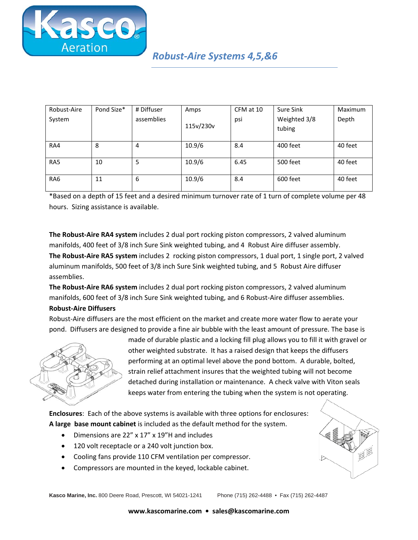

| Robust-Aire     | Pond Size* | # Diffuser | Amps      | CFM at 10 | Sure Sink              | Maximum |
|-----------------|------------|------------|-----------|-----------|------------------------|---------|
| System          |            | assemblies | 115v/230v | psi       | Weighted 3/8<br>tubing | Depth   |
| RA4             | 8          | 4          | 10.9/6    | 8.4       | 400 feet               | 40 feet |
| RA5             | 10         | 5          | 10.9/6    | 6.45      | 500 feet               | 40 feet |
| RA <sub>6</sub> | 11         | 6          | 10.9/6    | 8.4       | 600 feet               | 40 feet |

\*Based on a depth of 15 feet and a desired minimum turnover rate of 1 turn of complete volume per 48 hours. Sizing assistance is available.

**The Robust-Aire RA4 system** includes 2 dual port rocking piston compressors, 2 valved aluminum manifolds, 400 feet of 3/8 inch Sure Sink weighted tubing, and 4 Robust Aire diffuser assembly. **The Robust-Aire RA5 system** includes 2 rocking piston compressors, 1 dual port, 1 single port, 2 valved aluminum manifolds, 500 feet of 3/8 inch Sure Sink weighted tubing, and 5 Robust Aire diffuser assemblies.

**The Robust-Aire RA6 system** includes 2 dual port rocking piston compressors, 2 valved aluminum manifolds, 600 feet of 3/8 inch Sure Sink weighted tubing, and 6 Robust-Aire diffuser assemblies.

## **Robust-Aire Diffusers**

Robust-Aire diffusers are the most efficient on the market and create more water flow to aerate your pond. Diffusers are designed to provide a fine air bubble with the least amount of pressure. The base is



made of durable plastic and a locking fill plug allows you to fill it with gravel or other weighted substrate. It has a raised design that keeps the diffusers performing at an optimal level above the pond bottom. A durable, bolted, strain relief attachment insures that the weighted tubing will not become detached during installation or maintenance. A check valve with Viton seals keeps water from entering the tubing when the system is not operating.

**Enclosures**: Each of the above systems is available with three options for enclosures: **A large base mount cabinet** is included as the default method for the system.

- Dimensions are 22" x 17" x 19"H and includes
- 120 volt receptacle or a 240 volt junction box.
- Cooling fans provide 110 CFM ventilation per compressor.
- Compressors are mounted in the keyed, lockable cabinet.

**Kasco Marine, Inc.** 800 Deere Road, Prescott, WI 54021-1241 Phone (715) 262-4488 • Fax (715) 262-4487